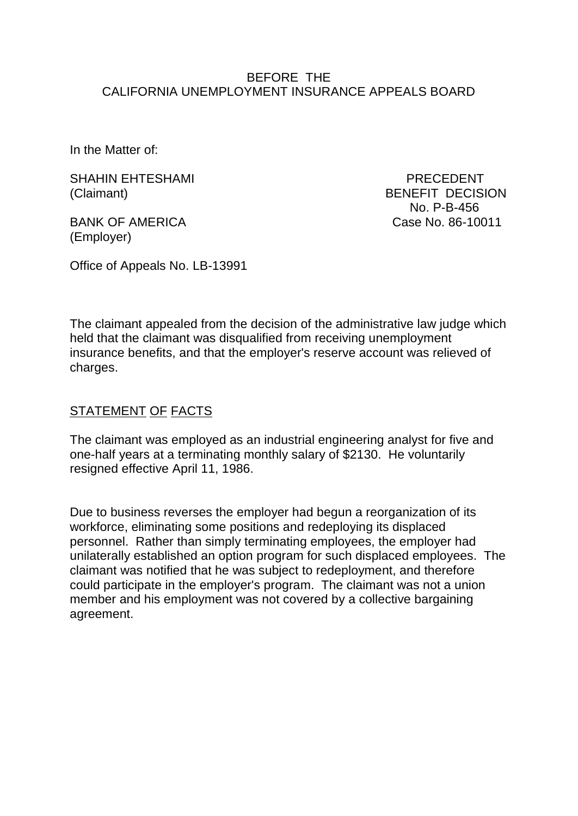#### BEFORE THE CALIFORNIA UNEMPLOYMENT INSURANCE APPEALS BOARD

In the Matter of:

SHAHIN EHTESHAMI PRECEDENT (Claimant) BENEFIT DECISION

(Employer)

 No. P-B-456 BANK OF AMERICA Case No. 86-10011

Office of Appeals No. LB-13991

The claimant appealed from the decision of the administrative law judge which held that the claimant was disqualified from receiving unemployment insurance benefits, and that the employer's reserve account was relieved of charges.

## STATEMENT OF FACTS

The claimant was employed as an industrial engineering analyst for five and one-half years at a terminating monthly salary of \$2130. He voluntarily resigned effective April 11, 1986.

Due to business reverses the employer had begun a reorganization of its workforce, eliminating some positions and redeploying its displaced personnel. Rather than simply terminating employees, the employer had unilaterally established an option program for such displaced employees. The claimant was notified that he was subject to redeployment, and therefore could participate in the employer's program. The claimant was not a union member and his employment was not covered by a collective bargaining agreement.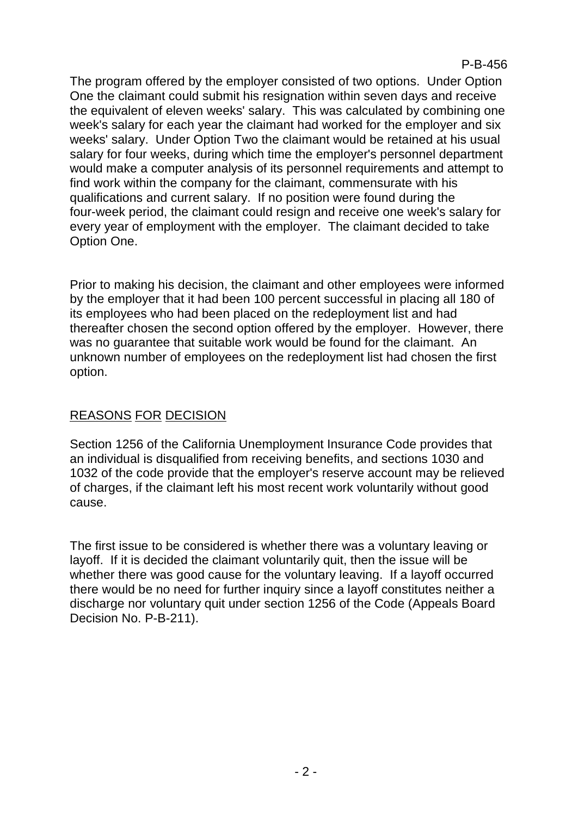The program offered by the employer consisted of two options. Under Option One the claimant could submit his resignation within seven days and receive the equivalent of eleven weeks' salary. This was calculated by combining one week's salary for each year the claimant had worked for the employer and six weeks' salary. Under Option Two the claimant would be retained at his usual salary for four weeks, during which time the employer's personnel department would make a computer analysis of its personnel requirements and attempt to find work within the company for the claimant, commensurate with his qualifications and current salary. If no position were found during the four-week period, the claimant could resign and receive one week's salary for every year of employment with the employer. The claimant decided to take Option One.

Prior to making his decision, the claimant and other employees were informed by the employer that it had been 100 percent successful in placing all 180 of its employees who had been placed on the redeployment list and had thereafter chosen the second option offered by the employer. However, there was no guarantee that suitable work would be found for the claimant. An unknown number of employees on the redeployment list had chosen the first option.

# REASONS FOR DECISION

Section 1256 of the California Unemployment Insurance Code provides that an individual is disqualified from receiving benefits, and sections 1030 and 1032 of the code provide that the employer's reserve account may be relieved of charges, if the claimant left his most recent work voluntarily without good cause.

The first issue to be considered is whether there was a voluntary leaving or layoff. If it is decided the claimant voluntarily quit, then the issue will be whether there was good cause for the voluntary leaving. If a layoff occurred there would be no need for further inquiry since a layoff constitutes neither a discharge nor voluntary quit under section 1256 of the Code (Appeals Board Decision No. P-B-211).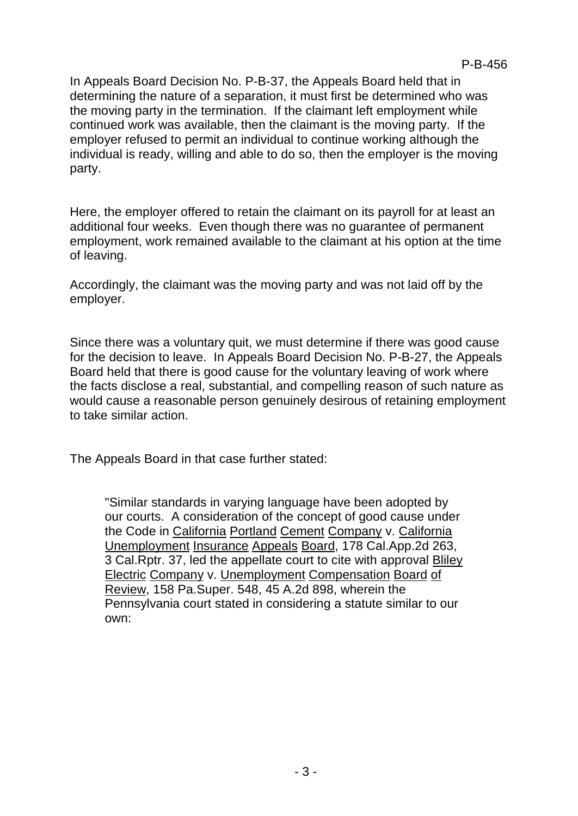In Appeals Board Decision No. P-B-37, the Appeals Board held that in determining the nature of a separation, it must first be determined who was the moving party in the termination. If the claimant left employment while continued work was available, then the claimant is the moving party. If the employer refused to permit an individual to continue working although the individual is ready, willing and able to do so, then the employer is the moving party.

Here, the employer offered to retain the claimant on its payroll for at least an additional four weeks. Even though there was no guarantee of permanent employment, work remained available to the claimant at his option at the time of leaving.

Accordingly, the claimant was the moving party and was not laid off by the employer.

Since there was a voluntary quit, we must determine if there was good cause for the decision to leave. In Appeals Board Decision No. P-B-27, the Appeals Board held that there is good cause for the voluntary leaving of work where the facts disclose a real, substantial, and compelling reason of such nature as would cause a reasonable person genuinely desirous of retaining employment to take similar action.

The Appeals Board in that case further stated:

"Similar standards in varying language have been adopted by our courts. A consideration of the concept of good cause under the Code in California Portland Cement Company v. California Unemployment Insurance Appeals Board, 178 Cal.App.2d 263, 3 Cal.Rptr. 37, led the appellate court to cite with approval Bliley Electric Company v. Unemployment Compensation Board of Review, 158 Pa.Super. 548, 45 A.2d 898, wherein the Pennsylvania court stated in considering a statute similar to our own: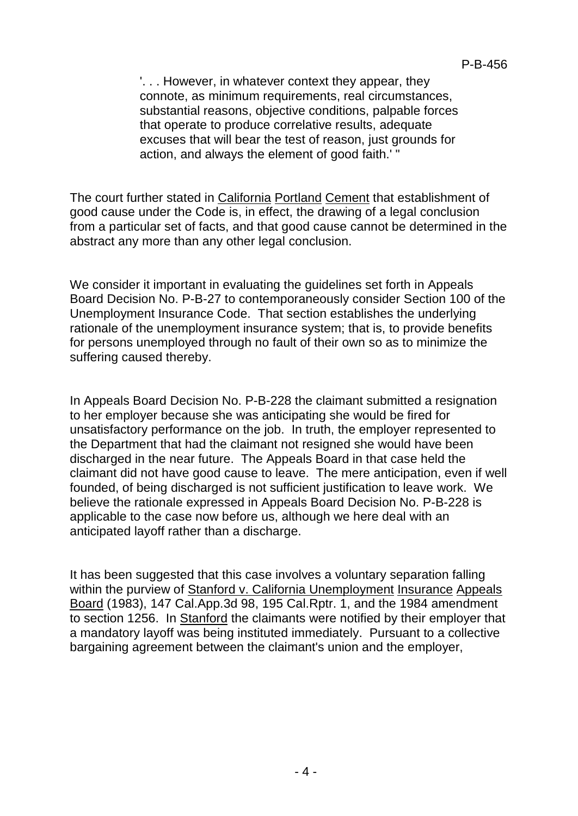'. . . However, in whatever context they appear, they connote, as minimum requirements, real circumstances, substantial reasons, objective conditions, palpable forces that operate to produce correlative results, adequate excuses that will bear the test of reason, just grounds for action, and always the element of good faith.' "

The court further stated in California Portland Cement that establishment of good cause under the Code is, in effect, the drawing of a legal conclusion from a particular set of facts, and that good cause cannot be determined in the abstract any more than any other legal conclusion.

We consider it important in evaluating the guidelines set forth in Appeals Board Decision No. P-B-27 to contemporaneously consider Section 100 of the Unemployment Insurance Code. That section establishes the underlying rationale of the unemployment insurance system; that is, to provide benefits for persons unemployed through no fault of their own so as to minimize the suffering caused thereby.

In Appeals Board Decision No. P-B-228 the claimant submitted a resignation to her employer because she was anticipating she would be fired for unsatisfactory performance on the job. In truth, the employer represented to the Department that had the claimant not resigned she would have been discharged in the near future. The Appeals Board in that case held the claimant did not have good cause to leave. The mere anticipation, even if well founded, of being discharged is not sufficient justification to leave work. We believe the rationale expressed in Appeals Board Decision No. P-B-228 is applicable to the case now before us, although we here deal with an anticipated layoff rather than a discharge.

It has been suggested that this case involves a voluntary separation falling within the purview of Stanford v. California Unemployment Insurance Appeals Board (1983), 147 Cal.App.3d 98, 195 Cal.Rptr. 1, and the 1984 amendment to section 1256. In Stanford the claimants were notified by their employer that a mandatory layoff was being instituted immediately. Pursuant to a collective bargaining agreement between the claimant's union and the employer,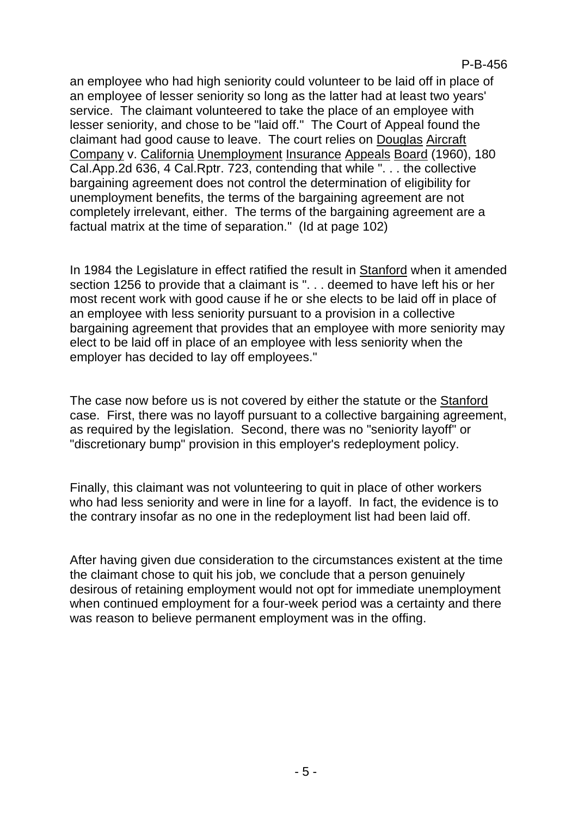an employee who had high seniority could volunteer to be laid off in place of an employee of lesser seniority so long as the latter had at least two years' service. The claimant volunteered to take the place of an employee with lesser seniority, and chose to be "laid off." The Court of Appeal found the claimant had good cause to leave. The court relies on Douglas Aircraft Company v. California Unemployment Insurance Appeals Board (1960), 180 Cal.App.2d 636, 4 Cal.Rptr. 723, contending that while ". . . the collective bargaining agreement does not control the determination of eligibility for unemployment benefits, the terms of the bargaining agreement are not completely irrelevant, either. The terms of the bargaining agreement are a factual matrix at the time of separation." (Id at page 102)

In 1984 the Legislature in effect ratified the result in Stanford when it amended section 1256 to provide that a claimant is ". . . deemed to have left his or her most recent work with good cause if he or she elects to be laid off in place of an employee with less seniority pursuant to a provision in a collective bargaining agreement that provides that an employee with more seniority may elect to be laid off in place of an employee with less seniority when the employer has decided to lay off employees."

The case now before us is not covered by either the statute or the Stanford case. First, there was no layoff pursuant to a collective bargaining agreement, as required by the legislation. Second, there was no "seniority layoff" or "discretionary bump" provision in this employer's redeployment policy.

Finally, this claimant was not volunteering to quit in place of other workers who had less seniority and were in line for a layoff. In fact, the evidence is to the contrary insofar as no one in the redeployment list had been laid off.

After having given due consideration to the circumstances existent at the time the claimant chose to quit his job, we conclude that a person genuinely desirous of retaining employment would not opt for immediate unemployment when continued employment for a four-week period was a certainty and there was reason to believe permanent employment was in the offing.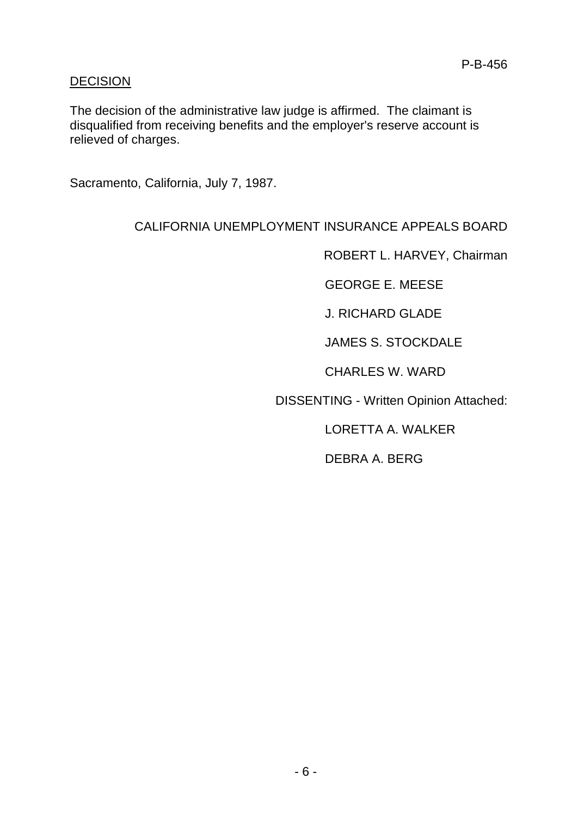#### **DECISION**

The decision of the administrative law judge is affirmed. The claimant is disqualified from receiving benefits and the employer's reserve account is relieved of charges.

Sacramento, California, July 7, 1987.

### CALIFORNIA UNEMPLOYMENT INSURANCE APPEALS BOARD

ROBERT L. HARVEY, Chairman

GEORGE E. MEESE

J. RICHARD GLADE

JAMES S. STOCKDALE

CHARLES W. WARD

DISSENTING - Written Opinion Attached:

LORETTA A. WALKER

DEBRA A. BERG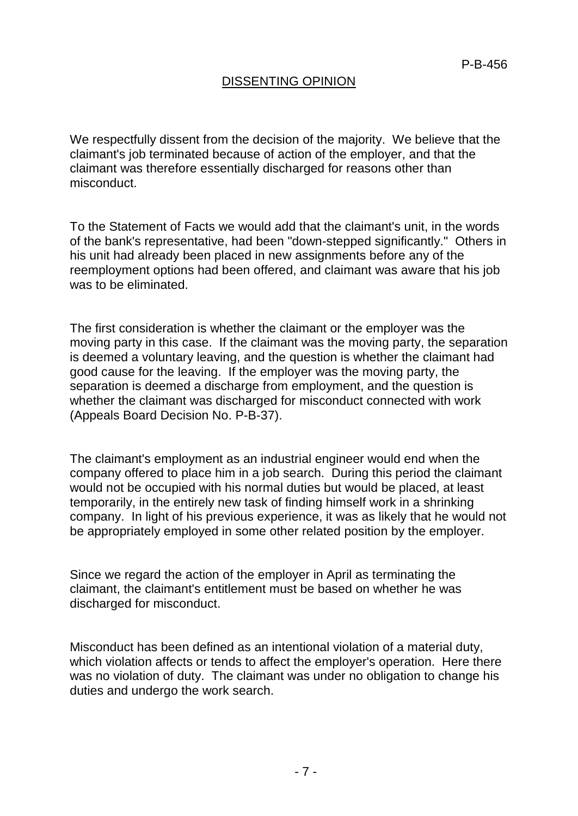## DISSENTING OPINION

We respectfully dissent from the decision of the majority. We believe that the claimant's job terminated because of action of the employer, and that the claimant was therefore essentially discharged for reasons other than misconduct.

To the Statement of Facts we would add that the claimant's unit, in the words of the bank's representative, had been "down-stepped significantly." Others in his unit had already been placed in new assignments before any of the reemployment options had been offered, and claimant was aware that his job was to be eliminated.

The first consideration is whether the claimant or the employer was the moving party in this case. If the claimant was the moving party, the separation is deemed a voluntary leaving, and the question is whether the claimant had good cause for the leaving. If the employer was the moving party, the separation is deemed a discharge from employment, and the question is whether the claimant was discharged for misconduct connected with work (Appeals Board Decision No. P-B-37).

The claimant's employment as an industrial engineer would end when the company offered to place him in a job search. During this period the claimant would not be occupied with his normal duties but would be placed, at least temporarily, in the entirely new task of finding himself work in a shrinking company. In light of his previous experience, it was as likely that he would not be appropriately employed in some other related position by the employer.

Since we regard the action of the employer in April as terminating the claimant, the claimant's entitlement must be based on whether he was discharged for misconduct.

Misconduct has been defined as an intentional violation of a material duty, which violation affects or tends to affect the employer's operation. Here there was no violation of duty. The claimant was under no obligation to change his duties and undergo the work search.